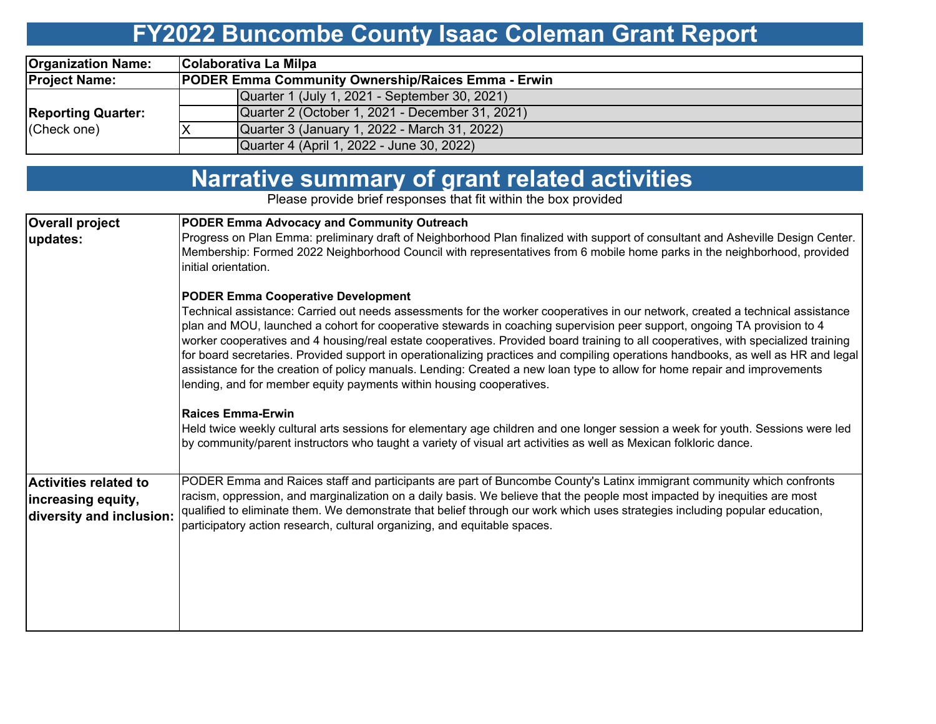## **FY2022 Buncombe County Isaac Coleman Grant Report**

| <b>Organization Name:</b>                                                         |  | Colaborativa La Milpa                           |  |  |  |  |  |  |  |
|-----------------------------------------------------------------------------------|--|-------------------------------------------------|--|--|--|--|--|--|--|
| <b>PODER Emma Community Ownership/Raices Emma - Erwin</b><br><b>Project Name:</b> |  |                                                 |  |  |  |  |  |  |  |
|                                                                                   |  | Quarter 1 (July 1, 2021 - September 30, 2021)   |  |  |  |  |  |  |  |
| <b>Reporting Quarter:</b>                                                         |  | Quarter 2 (October 1, 2021 - December 31, 2021) |  |  |  |  |  |  |  |
| (Check one)                                                                       |  | Quarter 3 (January 1, 2022 - March 31, 2022)    |  |  |  |  |  |  |  |
|                                                                                   |  | Quarter 4 (April 1, 2022 - June 30, 2022)       |  |  |  |  |  |  |  |

### **Narrative summary of grant related activities**

Please provide brief responses that fit within the box provided

| <b>Overall project</b><br>updates:                                             | <b>PODER Emma Advocacy and Community Outreach</b><br>Progress on Plan Emma: preliminary draft of Neighborhood Plan finalized with support of consultant and Asheville Design Center.<br>Membership: Formed 2022 Neighborhood Council with representatives from 6 mobile home parks in the neighborhood, provided<br>initial orientation.                                                                                                                                                                                                                                                                                                                                                                                                                                                |  |  |  |  |  |  |  |  |
|--------------------------------------------------------------------------------|-----------------------------------------------------------------------------------------------------------------------------------------------------------------------------------------------------------------------------------------------------------------------------------------------------------------------------------------------------------------------------------------------------------------------------------------------------------------------------------------------------------------------------------------------------------------------------------------------------------------------------------------------------------------------------------------------------------------------------------------------------------------------------------------|--|--|--|--|--|--|--|--|
|                                                                                | <b>PODER Emma Cooperative Development</b><br>Technical assistance: Carried out needs assessments for the worker cooperatives in our network, created a technical assistance<br>plan and MOU, launched a cohort for cooperative stewards in coaching supervision peer support, ongoing TA provision to 4<br>worker cooperatives and 4 housing/real estate cooperatives. Provided board training to all cooperatives, with specialized training<br>for board secretaries. Provided support in operationalizing practices and compiling operations handbooks, as well as HR and legal<br>assistance for the creation of policy manuals. Lending: Created a new loan type to allow for home repair and improvements<br>lending, and for member equity payments within housing cooperatives. |  |  |  |  |  |  |  |  |
|                                                                                | <b>Raices Emma-Erwin</b><br>Held twice weekly cultural arts sessions for elementary age children and one longer session a week for youth. Sessions were led<br>by community/parent instructors who taught a variety of visual art activities as well as Mexican folkloric dance.                                                                                                                                                                                                                                                                                                                                                                                                                                                                                                        |  |  |  |  |  |  |  |  |
| <b>Activities related to</b><br>increasing equity,<br>diversity and inclusion: | PODER Emma and Raices staff and participants are part of Buncombe County's Latinx immigrant community which confronts<br>racism, oppression, and marginalization on a daily basis. We believe that the people most impacted by inequities are most<br>qualified to eliminate them. We demonstrate that belief through our work which uses strategies including popular education,<br>participatory action research, cultural organizing, and equitable spaces.                                                                                                                                                                                                                                                                                                                          |  |  |  |  |  |  |  |  |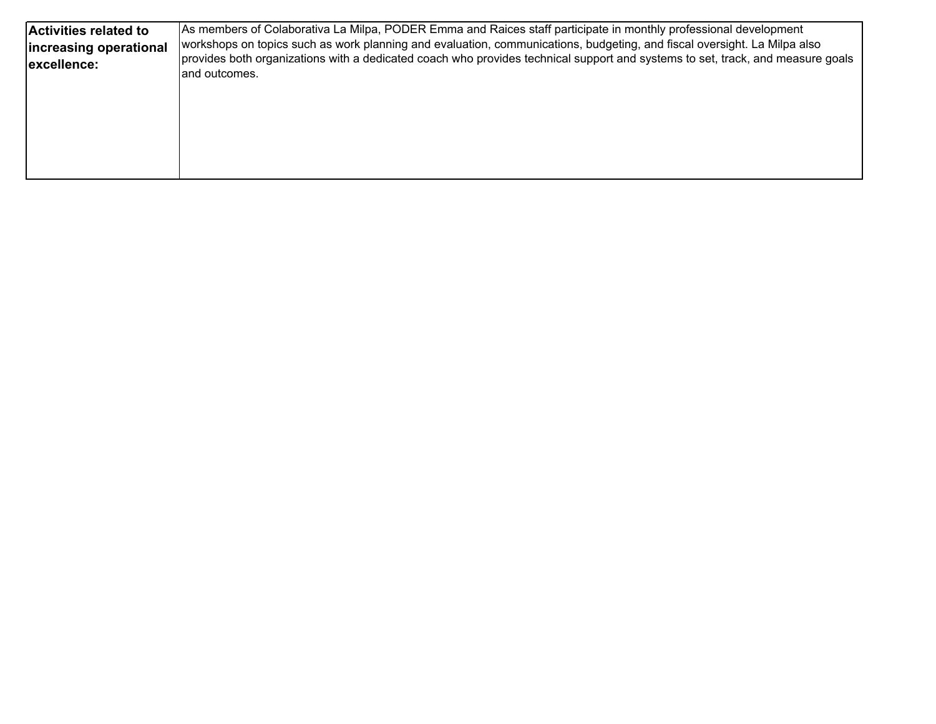| <b>Activities related to</b>          | As members of Colaborativa La Milpa, PODER Emma and Raices staff participate in monthly professional development                                                                                                                                           |  |  |  |  |  |  |  |  |
|---------------------------------------|------------------------------------------------------------------------------------------------------------------------------------------------------------------------------------------------------------------------------------------------------------|--|--|--|--|--|--|--|--|
| increasing operational<br>excellence: | workshops on topics such as work planning and evaluation, communications, budgeting, and fiscal oversight. La Milpa also<br>provides both organizations with a dedicated coach who provides technical support and systems to set, track, and measure goals |  |  |  |  |  |  |  |  |
|                                       | land outcomes.                                                                                                                                                                                                                                             |  |  |  |  |  |  |  |  |
|                                       |                                                                                                                                                                                                                                                            |  |  |  |  |  |  |  |  |
|                                       |                                                                                                                                                                                                                                                            |  |  |  |  |  |  |  |  |
|                                       |                                                                                                                                                                                                                                                            |  |  |  |  |  |  |  |  |
|                                       |                                                                                                                                                                                                                                                            |  |  |  |  |  |  |  |  |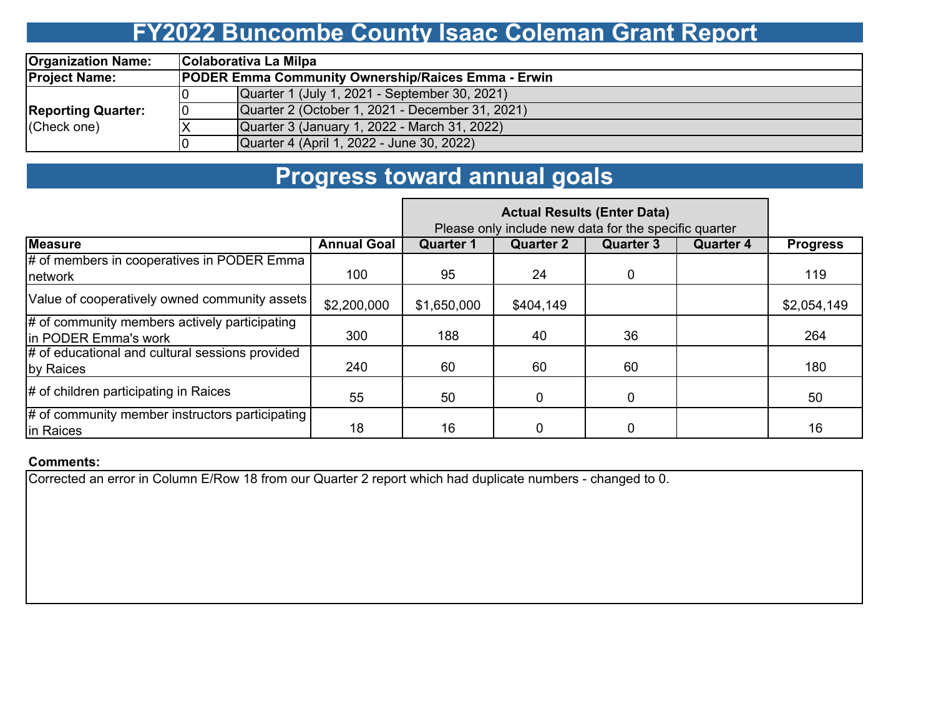## **FY2022 Buncombe County Isaac Coleman Grant Report**

| <b>Organization Name:</b> |                                                           | Colaborativa La Milpa                           |  |  |  |  |  |  |  |
|---------------------------|-----------------------------------------------------------|-------------------------------------------------|--|--|--|--|--|--|--|
| <b>Project Name:</b>      | <b>PODER Emma Community Ownership/Raices Emma - Erwin</b> |                                                 |  |  |  |  |  |  |  |
|                           |                                                           | Quarter 1 (July 1, 2021 - September 30, 2021)   |  |  |  |  |  |  |  |
| <b>Reporting Quarter:</b> |                                                           | Quarter 2 (October 1, 2021 - December 31, 2021) |  |  |  |  |  |  |  |
| (Check one)               |                                                           | Quarter 3 (January 1, 2022 - March 31, 2022)    |  |  |  |  |  |  |  |
|                           |                                                           | Quarter 4 (April 1, 2022 - June 30, 2022)       |  |  |  |  |  |  |  |

### **Progress toward annual goals**

|                                                                       |                    | Please only include new data for the specific quarter |                  |                  |                  |                 |
|-----------------------------------------------------------------------|--------------------|-------------------------------------------------------|------------------|------------------|------------------|-----------------|
| <b>Measure</b>                                                        | <b>Annual Goal</b> | <b>Quarter 1</b>                                      | <b>Quarter 2</b> | <b>Quarter 3</b> | <b>Quarter 4</b> | <b>Progress</b> |
| # of members in cooperatives in PODER Emma<br>network                 | 100                | 95                                                    | 24               | 0                |                  | 119             |
| Value of cooperatively owned community assets                         | \$2,200,000        | \$1,650,000                                           | \$404,149        |                  |                  | \$2,054,149     |
| # of community members actively participating<br>In PODER Emma's work | 300                | 188                                                   | 40               | 36               |                  | 264             |
| # of educational and cultural sessions provided<br>by Raices          | 240                | 60                                                    | 60               | 60               |                  | 180             |
| # of children participating in Raices                                 | 55                 | 50                                                    | $\Omega$         | 0                |                  | 50              |
| # of community member instructors participating  <br>In Raices        | 18                 | 16                                                    |                  | 0                |                  | 16              |

#### **Comments:**

Corrected an error in Column E/Row 18 from our Quarter 2 report which had duplicate numbers - changed to 0.